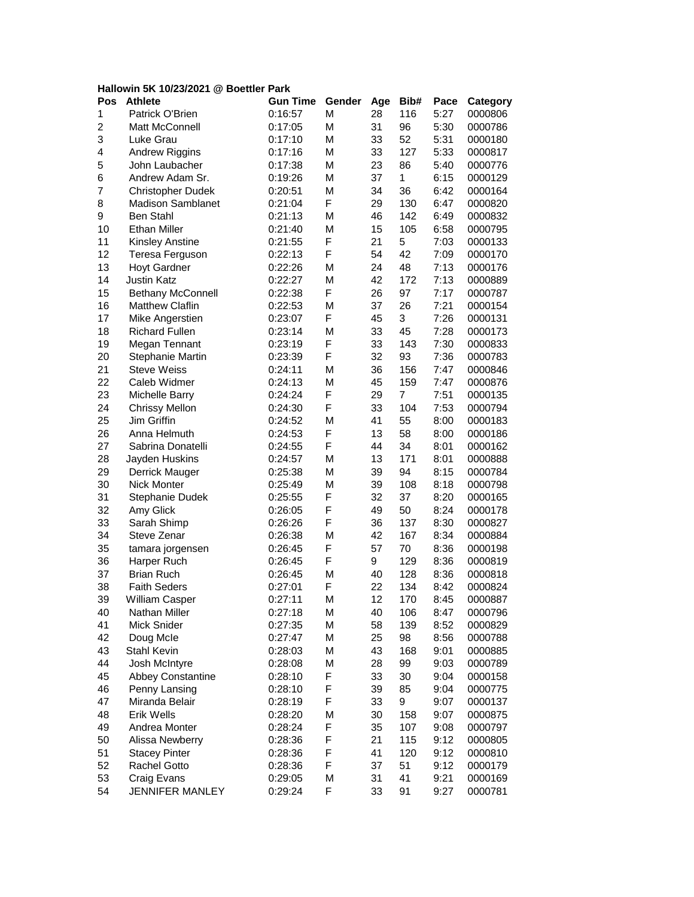## **Hallowin 5K 10/23/2021 @ Boettler Park**

| Pos            | <b>Athlete</b>                      | <b>Gun Time</b> | Gender | Age | Bib# | Pace         | Category |
|----------------|-------------------------------------|-----------------|--------|-----|------|--------------|----------|
| 1              | Patrick O'Brien                     | 0:16:57         | М      | 28  | 116  | 5:27         | 0000806  |
| $\overline{2}$ | Matt McConnell                      | 0:17:05         | М      | 31  | 96   | 5:30         | 0000786  |
| 3              | Luke Grau                           | 0:17:10         | М      | 33  | 52   | 5:31         | 0000180  |
| 4              | <b>Andrew Riggins</b>               | 0:17:16         | М      | 33  | 127  | 5:33         | 0000817  |
| 5              | John Laubacher                      | 0:17:38         | М      | 23  | 86   | 5:40         | 0000776  |
| 6              | Andrew Adam Sr.                     | 0:19:26         | М      | 37  | 1    | 6:15         | 0000129  |
| 7              | <b>Christopher Dudek</b>            | 0:20:51         | M      | 34  | 36   | 6:42         | 0000164  |
| 8              | <b>Madison Samblanet</b>            | 0:21:04         | F      | 29  | 130  | 6:47         | 0000820  |
| 9              | <b>Ben Stahl</b>                    | 0:21:13         | М      | 46  | 142  | 6:49         | 0000832  |
| 10             | <b>Ethan Miller</b>                 | 0:21:40         | M      | 15  | 105  | 6:58         | 0000795  |
| 11             | <b>Kinsley Anstine</b>              | 0:21:55         | F      | 21  | 5    | 7:03         | 0000133  |
| 12             | Teresa Ferguson                     | 0:22:13         | F      | 54  | 42   | 7:09         | 0000170  |
| 13             | <b>Hoyt Gardner</b>                 | 0:22:26         | M      | 24  | 48   | 7:13         | 0000176  |
| 14             | <b>Justin Katz</b>                  | 0:22:27         | M      | 42  | 172  | 7:13         | 0000889  |
| 15             | <b>Bethany McConnell</b>            | 0:22:38         | F      | 26  | 97   | 7:17         | 0000787  |
| 16             | <b>Matthew Claflin</b>              | 0:22:53         | M      | 37  | 26   | 7:21         | 0000154  |
| 17             | Mike Angerstien                     | 0:23:07         | F      | 45  | 3    | 7:26         | 0000131  |
| 18             | <b>Richard Fullen</b>               | 0:23:14         | M      | 33  | 45   | 7:28         | 0000173  |
| 19             | Megan Tennant                       | 0:23:19         | F      | 33  | 143  | 7:30         | 0000833  |
| 20             | Stephanie Martin                    | 0:23:39         | F      | 32  | 93   | 7:36         | 0000783  |
| 21             | <b>Steve Weiss</b>                  | 0:24:11         | M      | 36  | 156  | 7:47         | 0000846  |
| 22             | Caleb Widmer                        | 0:24:13         | M      | 45  | 159  | 7:47         | 0000876  |
| 23             | Michelle Barry                      | 0:24:24         | F      | 29  | 7    | 7:51         | 0000135  |
| 24             | <b>Chrissy Mellon</b>               | 0:24:30         | F      | 33  | 104  | 7:53         | 0000794  |
| 25             | Jim Griffin                         | 0:24:52         | M      | 41  | 55   | 8:00         | 0000183  |
| 26             | Anna Helmuth                        | 0:24:53         | F      | 13  | 58   | 8:00         | 0000186  |
| 27             | Sabrina Donatelli                   | 0:24:55         | F      | 44  | 34   | 8:01         | 0000162  |
| 28             | Jayden Huskins                      | 0:24:57         | М      | 13  | 171  | 8:01         | 0000888  |
| 29             | Derrick Mauger                      | 0:25:38         | М      | 39  | 94   | 8:15         | 0000784  |
| 30             | Nick Monter                         | 0:25:49         | М      | 39  | 108  | 8:18         | 0000798  |
| 31             | Stephanie Dudek                     | 0:25:55         | F      | 32  | 37   | 8:20         | 0000165  |
| 32             | Amy Glick                           | 0:26:05         | F      | 49  | 50   | 8:24         | 0000178  |
| 33             | Sarah Shimp                         | 0:26:26         | F      | 36  | 137  | 8:30         | 0000827  |
| 34             | Steve Zenar                         | 0:26:38         | M      | 42  | 167  | 8:34         | 0000884  |
| 35             | tamara jorgensen                    | 0:26:45         | F      | 57  | 70   | 8:36         | 0000198  |
| 36             | Harper Ruch                         | 0:26:45         | F      | 9   | 129  | 8:36         | 0000819  |
| 37             | <b>Brian Ruch</b>                   | 0:26:45         | M      | 40  | 128  | 8:36         | 0000818  |
| 38             | <b>Faith Seders</b>                 | 0:27:01         | F      | 22  | 134  | 8:42         | 0000824  |
| 39             | William Casper                      | 0:27:11         | М      | 12  | 170  | 8:45         | 0000887  |
| 40             | Nathan Miller                       | 0:27:18         | М      | 40  | 106  | 8:47         |          |
| 41             | Mick Snider                         | 0:27:35         | M      | 58  | 139  | 8:52         | 0000796  |
| 42             |                                     | 0:27:47         | М      | 25  | 98   |              | 0000829  |
| 43             | Doug Mcle<br>Stahl Kevin            |                 | М      | 43  | 168  | 8:56<br>9:01 | 0000788  |
| 44             | Josh McIntyre                       | 0:28:03         | М      |     | 99   |              | 0000885  |
| 45             | <b>Abbey Constantine</b>            | 0:28:08         | F      | 28  |      | 9:03         | 0000789  |
|                | Penny Lansing                       | 0:28:10         |        | 33  | 30   | 9:04         | 0000158  |
| 46             |                                     | 0:28:10         | F      | 39  | 85   | 9:04         | 0000775  |
| 47             | Miranda Belair<br><b>Erik Wells</b> | 0:28:19         | F      | 33  | 9    | 9:07         | 0000137  |
| 48             |                                     | 0:28:20         | M      | 30  | 158  | 9:07         | 0000875  |
| 49             | Andrea Monter                       | 0:28:24         | F      | 35  | 107  | 9:08         | 0000797  |
| 50             | Alissa Newberry                     | 0:28:36         | F      | 21  | 115  | 9:12         | 0000805  |
| 51             | <b>Stacey Pinter</b>                | 0:28:36         | F      | 41  | 120  | 9:12         | 0000810  |
| 52             | Rachel Gotto                        | 0:28:36         | F      | 37  | 51   | 9:12         | 0000179  |
| 53             | Craig Evans                         | 0:29:05         | М      | 31  | 41   | 9:21         | 0000169  |
| 54             | JENNIFER MANLEY                     | 0:29:24         | F      | 33  | 91   | 9:27         | 0000781  |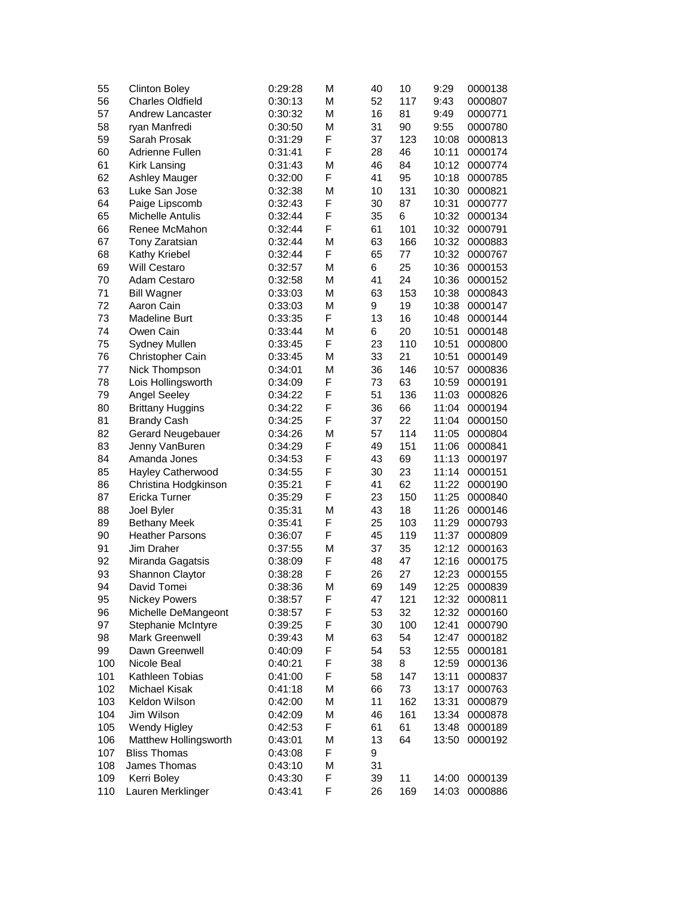| 55  | <b>Clinton Boley</b>    | 0:29:28 | М | 40       | 10  | 9:29           | 0000138 |
|-----|-------------------------|---------|---|----------|-----|----------------|---------|
| 56  | <b>Charles Oldfield</b> | 0:30:13 | М | 52       | 117 | 9:43           | 0000807 |
| 57  | <b>Andrew Lancaster</b> | 0:30:32 | М | 16       | 81  | 9:49           | 0000771 |
| 58  | ryan Manfredi           | 0:30:50 | М | 31       | 90  | 9:55           | 0000780 |
| 59  | Sarah Prosak            | 0:31:29 | F | 37       | 123 | 10:08          | 0000813 |
| 60  | Adrienne Fullen         | 0:31:41 | F | 28       | 46  | 10:11          | 0000174 |
| 61  | Kirk Lansing            | 0:31:43 | М | 46       | 84  | 10:12          | 0000774 |
| 62  | Ashley Mauger           | 0:32:00 | F | 41       | 95  | 10:18          | 0000785 |
| 63  | Luke San Jose           | 0:32:38 | М | 10       | 131 | 10:30          | 0000821 |
| 64  | Paige Lipscomb          | 0:32:43 | F | 30       | 87  | 10:31          | 0000777 |
| 65  | <b>Michelle Antulis</b> | 0:32:44 | F | 35       | 6   | 10:32          | 0000134 |
| 66  | Renee McMahon           | 0:32:44 | F | 61       | 101 | 10:32          | 0000791 |
| 67  | Tony Zaratsian          | 0:32:44 | М | 63       | 166 | 10:32          | 0000883 |
| 68  | Kathy Kriebel           | 0:32:44 | F | 65       | 77  | 10:32          | 0000767 |
| 69  | <b>Will Cestaro</b>     | 0:32:57 | М | 6        | 25  | 10:36          | 0000153 |
| 70  | Adam Cestaro            | 0:32:58 | М | 41       | 24  | 10:36          | 0000152 |
| 71  | <b>Bill Wagner</b>      | 0:33:03 | М | 63       | 153 | 10:38          | 0000843 |
| 72  | Aaron Cain              | 0:33:03 | М | 9        | 19  | 10:38          | 0000147 |
| 73  | <b>Madeline Burt</b>    | 0:33:35 | F | 13       | 16  | 10:48          | 0000144 |
| 74  | Owen Cain               | 0:33:44 | М | 6        | 20  | 10:51          | 0000148 |
| 75  | <b>Sydney Mullen</b>    | 0:33:45 | F | 23       | 110 | 10:51          | 0000800 |
| 76  | Christopher Cain        | 0:33:45 | М | 33       | 21  | 10:51          | 0000149 |
| 77  | Nick Thompson           | 0:34:01 | М | 36       | 146 | 10:57          | 0000836 |
| 78  | Lois Hollingsworth      | 0:34:09 | F | 73       | 63  | 10:59          | 0000191 |
| 79  | <b>Angel Seeley</b>     | 0:34:22 | F | 51       | 136 | 11:03          | 0000826 |
| 80  | <b>Brittany Huggins</b> | 0:34:22 | F | 36       | 66  | 11:04          | 0000194 |
| 81  | <b>Brandy Cash</b>      | 0:34:25 | F | 37       | 22  | 11:04          | 0000150 |
| 82  | Gerard Neugebauer       | 0:34:26 | М | 57       | 114 | 11:05          | 0000804 |
| 83  | Jenny VanBuren          | 0:34:29 | F | 49       | 151 | 11:06          | 0000841 |
| 84  | Amanda Jones            | 0:34:53 | F | 43       | 69  | 11:13          | 0000197 |
| 85  | Hayley Catherwood       | 0:34:55 | F | 30       | 23  | 11:14          | 0000151 |
| 86  | Christina Hodgkinson    | 0:35:21 | F | 41       | 62  | 11:22          | 0000190 |
| 87  | Ericka Turner           | 0:35:29 | F | 23       | 150 | 11:25          | 0000840 |
| 88  | Joel Byler              | 0:35:31 | М | 43       | 18  | 11:26          | 0000146 |
| 89  | <b>Bethany Meek</b>     | 0:35:41 | F | 25       | 103 | 11:29          | 0000793 |
| 90  | <b>Heather Parsons</b>  | 0:36:07 | F | 45       | 119 | 11:37          | 0000809 |
| 91  | Jim Draher              | 0:37:55 | Μ | 37       | 35  | 12:12          | 0000163 |
| 92  | Miranda Gagatsis        | 0:38:09 | F | 48       | 47  | 12:16          | 0000175 |
| 93  | Shannon Claytor         | 0:38:28 | F | 26       | 27  | 12:23          | 0000155 |
| 94  | David Tomei             | 0:38:36 | M | 69       | 149 | 12:25          | 0000839 |
| 95  | <b>Nickey Powers</b>    | 0:38:57 | F | 47       | 121 | 12:32          | 0000811 |
| 96  | Michelle DeMangeont     | 0:38:57 | F | 53       | 32  | 12:32          | 0000160 |
| 97  | Stephanie McIntyre      | 0:39:25 | F | 30       | 100 | 12:41          | 0000790 |
| 98  | Mark Greenwell          | 0:39:43 | М | 63       | 54  | 12:47          | 0000182 |
| 99  | Dawn Greenwell          |         | F | 54       | 53  |                |         |
| 100 | Nicole Beal             | 0:40:09 | F | 38       | 8   | 12:55          | 0000181 |
|     |                         | 0:40:21 |   |          |     | 12:59          | 0000136 |
| 101 | Kathleen Tobias         | 0:41:00 | F | 58       | 147 | 13:11          | 0000837 |
| 102 | Michael Kisak           | 0:41:18 | М | 66<br>11 | 73  | 13:17          | 0000763 |
| 103 | Keldon Wilson           | 0:42:00 | М |          | 162 | 13:31<br>13:34 | 0000879 |
| 104 | Jim Wilson              | 0:42:09 | Μ | 46       | 161 |                | 0000878 |
| 105 | Wendy Higley            | 0:42:53 | F | 61       | 61  | 13:48          | 0000189 |
| 106 | Matthew Hollingsworth   | 0:43:01 | Μ | 13       | 64  | 13:50          | 0000192 |
| 107 | <b>Bliss Thomas</b>     | 0:43:08 | F | 9        |     |                |         |
| 108 | James Thomas            | 0:43:10 | М | 31       |     |                |         |
| 109 | Kerri Boley             | 0:43:30 | F | 39       | 11  | 14:00          | 0000139 |
| 110 | Lauren Merklinger       | 0:43:41 | F | 26       | 169 | 14:03          | 0000886 |